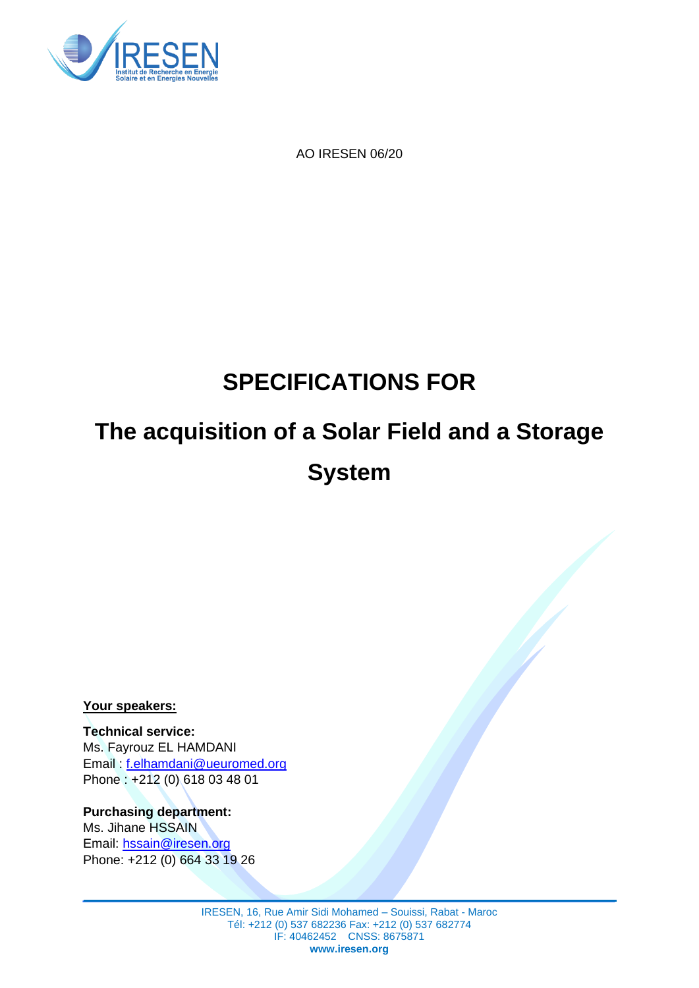

AO IRESEN 06/20

# **SPECIFICATIONS FOR**

# **The acquisition of a Solar Field and a Storage System**

**Your speakers:**

**Technical service:** Ms. Fayrouz EL HAMDANI Email : f.elhamdani@ueuromed.org Phone : +212 (0) 618 03 48 01

**Purchasing department:** Ms. Jihane HSSAIN Email: [hssain@iresen.org](mailto:hssain@iresen.org) Phone: +212 (0) 664 33 19 26

> IRESEN, 16, Rue Amir Sidi Mohamed – Souissi, Rabat - Maroc Tél: +212 (0) 537 682236 Fax: +212 (0) 537 682774 IF: 40462452 CNSS: 8675871 **www.iresen.org**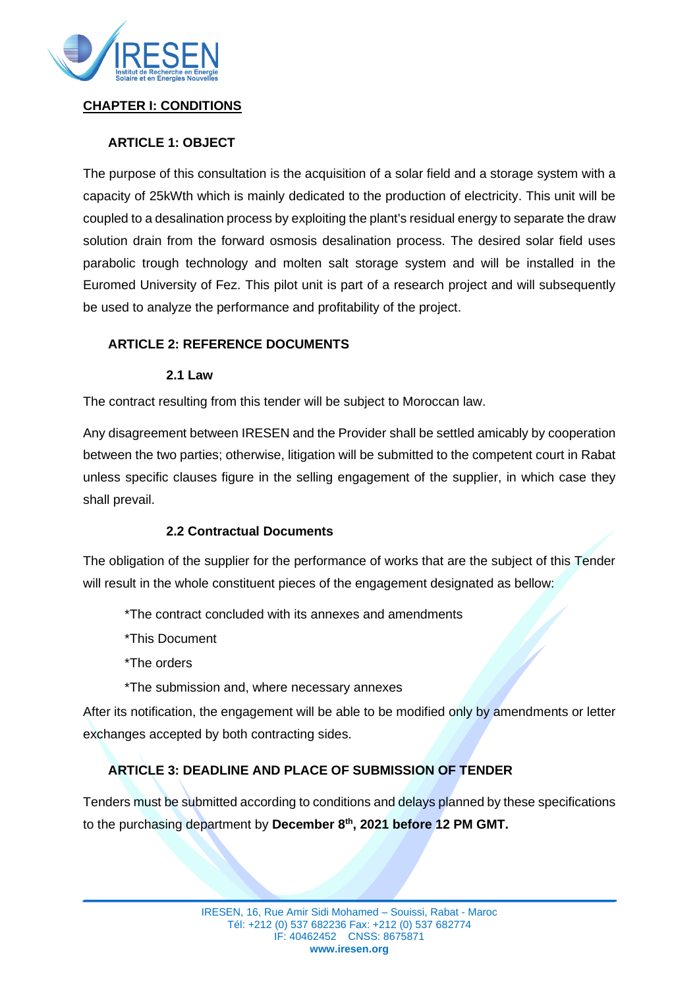

#### **CHAPTER I: CONDITIONS**

#### **ARTICLE 1: OBJECT**

The purpose of this consultation is the acquisition of a solar field and a storage system with a capacity of 25kWth which is mainly dedicated to the production of electricity. This unit will be coupled to a desalination process by exploiting the plant's residual energy to separate the draw solution drain from the forward osmosis desalination process. The desired solar field uses parabolic trough technology and molten salt storage system and will be installed in the Euromed University of Fez. This pilot unit is part of a research project and will subsequently be used to analyze the performance and profitability of the project.

#### **ARTICLE 2: REFERENCE DOCUMENTS**

#### **2.1 Law**

The contract resulting from this tender will be subject to Moroccan law.

Any disagreement between IRESEN and the Provider shall be settled amicably by cooperation between the two parties; otherwise, litigation will be submitted to the competent court in Rabat unless specific clauses figure in the selling engagement of the supplier, in which case they shall prevail.

#### **2.2 Contractual Documents**

The obligation of the supplier for the performance of works that are the subject of this Tender will result in the whole constituent pieces of the engagement designated as bellow:

\*The contract concluded with its annexes and amendments

\*This Document

\*The orders

\*The submission and, where necessary annexes

After its notification, the engagement will be able to be modified only by amendments or letter exchanges accepted by both contracting sides.

## **ARTICLE 3: DEADLINE AND PLACE OF SUBMISSION OF TENDER**

Tenders must be submitted according to conditions and delays planned by these specifications to the purchasing department by **December 8 th, 2021 before 12 PM GMT.**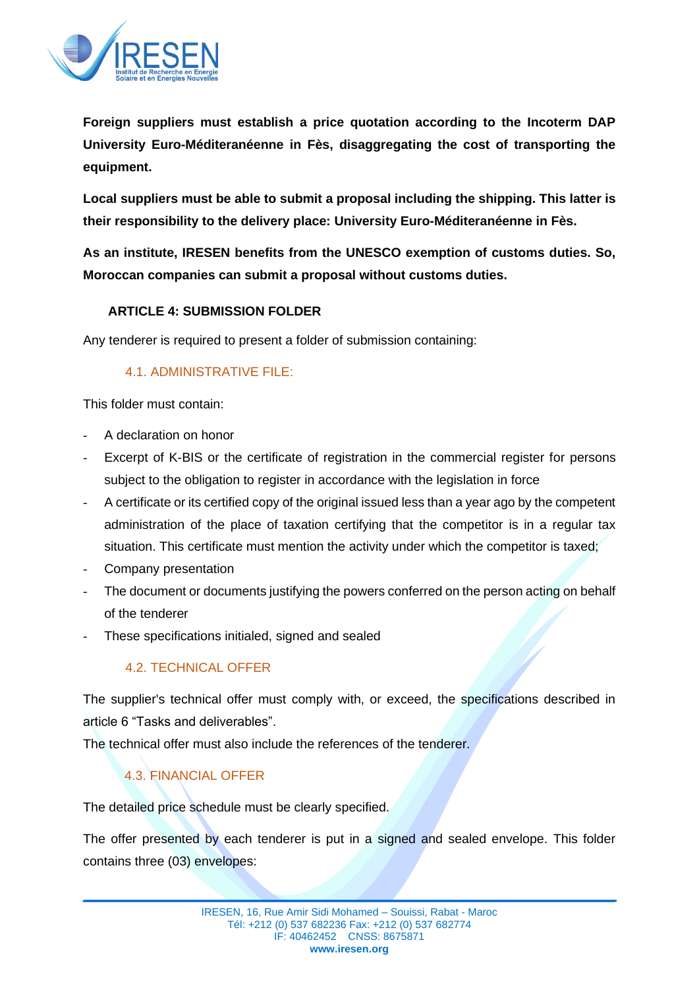

**Foreign suppliers must establish a price quotation according to the Incoterm DAP University Euro-Méditeranéenne in Fès, disaggregating the cost of transporting the equipment.**

**Local suppliers must be able to submit a proposal including the shipping. This latter is their responsibility to the delivery place: University Euro-Méditeranéenne in Fès.**

**As an institute, IRESEN benefits from the UNESCO exemption of customs duties. So, Moroccan companies can submit a proposal without customs duties.**

#### **ARTICLE 4: SUBMISSION FOLDER**

Any tenderer is required to present a folder of submission containing:

#### 4.1. ADMINISTRATIVE FILE:

This folder must contain:

- A declaration on honor
- Excerpt of K-BIS or the certificate of registration in the commercial register for persons subject to the obligation to register in accordance with the legislation in force
- A certificate or its certified copy of the original issued less than a year ago by the competent administration of the place of taxation certifying that the competitor is in a regular tax situation. This certificate must mention the activity under which the competitor is taxed;
- Company presentation
- The document or documents justifying the powers conferred on the person acting on behalf of the tenderer
- These specifications initialed, signed and sealed

#### 4.2. TECHNICAL OFFER

The supplier's technical offer must comply with, or exceed, the specifications described in article 6 "Tasks and deliverables".

The technical offer must also include the references of the tenderer.

## 4.3. FINANCIAL OFFER

The detailed price schedule must be clearly specified.

The offer presented by each tenderer is put in a signed and sealed envelope. This folder contains three (03) envelopes: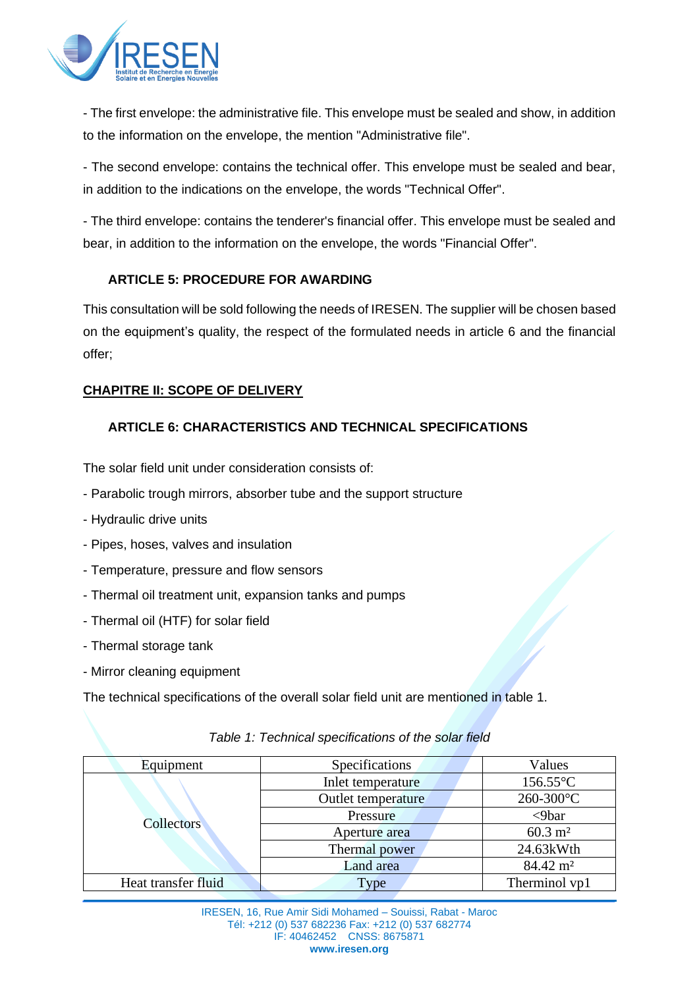

- The first envelope: the administrative file. This envelope must be sealed and show, in addition to the information on the envelope, the mention "Administrative file".

- The second envelope: contains the technical offer. This envelope must be sealed and bear, in addition to the indications on the envelope, the words "Technical Offer".

- The third envelope: contains the tenderer's financial offer. This envelope must be sealed and bear, in addition to the information on the envelope, the words "Financial Offer".

#### **ARTICLE 5: PROCEDURE FOR AWARDING**

This consultation will be sold following the needs of IRESEN. The supplier will be chosen based on the equipment's quality, the respect of the formulated needs in article 6 and the financial offer;

#### **CHAPITRE II: SCOPE OF DELIVERY**

#### **ARTICLE 6: CHARACTERISTICS AND TECHNICAL SPECIFICATIONS**

The solar field unit under consideration consists of:

- Parabolic trough mirrors, absorber tube and the support structure
- Hydraulic drive units
- Pipes, hoses, valves and insulation
- Temperature, pressure and flow sensors
- Thermal oil treatment unit, expansion tanks and pumps
- Thermal oil (HTF) for solar field
- Thermal storage tank
- Mirror cleaning equipment

The technical specifications of the overall solar field unit are mentioned in table 1.

| Equipment           | Specifications     | Values              |
|---------------------|--------------------|---------------------|
| Collectors          | Inlet temperature  | 156.55°C            |
|                     | Outlet temperature | 260-300°C           |
|                     | Pressure           | $< 9$ bar           |
|                     | Aperture area      | $60.3 \text{ m}^2$  |
|                     | Thermal power      | 24.63kWth           |
|                     | Land area          | $84.42 \text{ m}^2$ |
| Heat transfer fluid | Type               | Therminol vp1       |

#### *Table 1: Technical specifications of the solar field*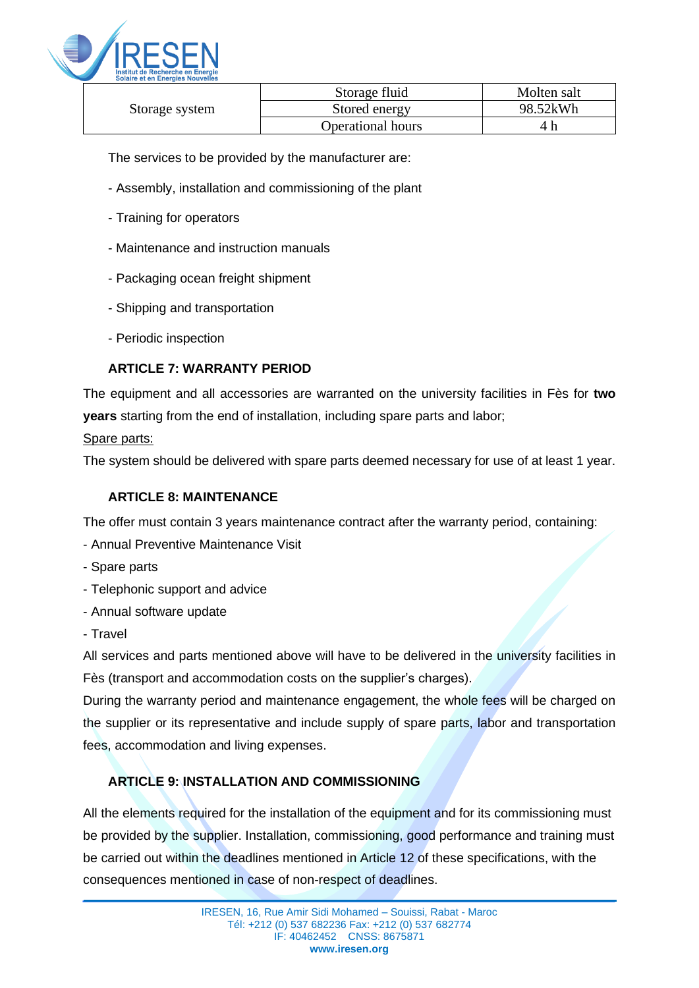

| Storage system | Storage fluid            | Molten salt |
|----------------|--------------------------|-------------|
|                | Stored energy            | 98.52kWh    |
|                | <b>Operational hours</b> |             |

The services to be provided by the manufacturer are:

- Assembly, installation and commissioning of the plant
- Training for operators
- Maintenance and instruction manuals
- Packaging ocean freight shipment
- Shipping and transportation
- Periodic inspection

#### **ARTICLE 7: WARRANTY PERIOD**

The equipment and all accessories are warranted on the university facilities in Fès for **two years** starting from the end of installation, including spare parts and labor;

#### Spare parts:

The system should be delivered with spare parts deemed necessary for use of at least 1 year.

#### **ARTICLE 8: MAINTENANCE**

The offer must contain 3 years maintenance contract after the warranty period, containing:

- Annual Preventive Maintenance Visit
- Spare parts
- Telephonic support and advice
- Annual software update
- Travel

All services and parts mentioned above will have to be delivered in the university facilities in Fès (transport and accommodation costs on the supplier's charges).

During the warranty period and maintenance engagement, the whole fees will be charged on the supplier or its representative and include supply of spare parts, labor and transportation fees, accommodation and living expenses.

# **ARTICLE 9: INSTALLATION AND COMMISSIONING**

All the elements required for the installation of the equipment and for its commissioning must be provided by the supplier. Installation, commissioning, good performance and training must be carried out within the deadlines mentioned in Article 12 of these specifications, with the consequences mentioned in case of non-respect of deadlines.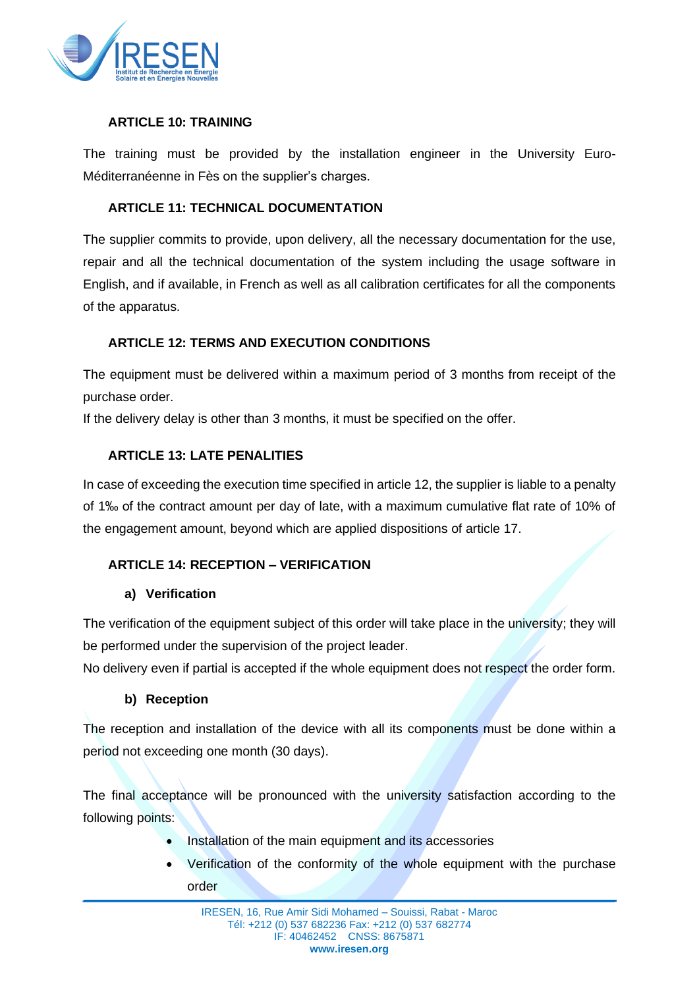

#### **ARTICLE 10: TRAINING**

The training must be provided by the installation engineer in the University Euro-Méditerranéenne in Fès on the supplier's charges.

#### **ARTICLE 11: TECHNICAL DOCUMENTATION**

The supplier commits to provide, upon delivery, all the necessary documentation for the use, repair and all the technical documentation of the system including the usage software in English, and if available, in French as well as all calibration certificates for all the components of the apparatus.

#### **ARTICLE 12: TERMS AND EXECUTION CONDITIONS**

The equipment must be delivered within a maximum period of 3 months from receipt of the purchase order.

If the delivery delay is other than 3 months, it must be specified on the offer.

#### **ARTICLE 13: LATE PENALITIES**

In case of exceeding the execution time specified in article 12, the supplier is liable to a penalty of 1‰ of the contract amount per day of late, with a maximum cumulative flat rate of 10% of the engagement amount, beyond which are applied dispositions of article 17.

#### **ARTICLE 14: RECEPTION – VERIFICATION**

#### **a) Verification**

The verification of the equipment subject of this order will take place in the university; they will be performed under the supervision of the project leader.

No delivery even if partial is accepted if the whole equipment does not respect the order form.

#### **b) Reception**

The reception and installation of the device with all its components must be done within a period not exceeding one month (30 days).

The final acceptance will be pronounced with the university satisfaction according to the following points:

- Installation of the main equipment and its accessories
- Verification of the conformity of the whole equipment with the purchase order